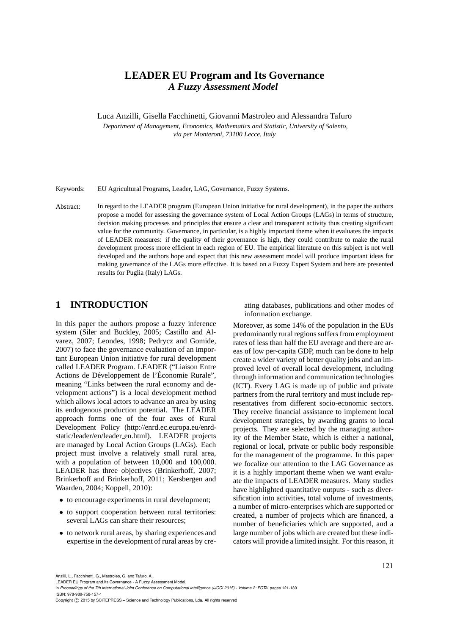# **LEADER EU Program and Its Governance** *A Fuzzy Assessment Model*

Luca Anzilli, Gisella Facchinetti, Giovanni Mastroleo and Alessandra Tafuro

*Department of Management, Economics, Mathematics and Statistic, University of Salento, via per Monteroni, 73100 Lecce, Italy*

Keywords: EU Agricultural Programs, Leader, LAG, Governance, Fuzzy Systems.

Abstract: In regard to the LEADER program (European Union initiative for rural development), in the paper the authors propose a model for assessing the governance system of Local Action Groups (LAGs) in terms of structure, decision making processes and principles that ensure a clear and transparent activity thus creating significant value for the community. Governance, in particular, is a highly important theme when it evaluates the impacts of LEADER measures: if the quality of their governance is high, they could contribute to make the rural development process more efficient in each region of EU. The empirical literature on this subject is not well developed and the authors hope and expect that this new assessment model will produce important ideas for making governance of the LAGs more effective. It is based on a Fuzzy Expert System and here are presented results for Puglia (Italy) LAGs.

### **1 INTRODUCTION**

In this paper the authors propose a fuzzy inference system (Siler and Buckley, 2005; Castillo and Alvarez, 2007; Leondes, 1998; Pedrycz and Gomide, 2007) to face the governance evaluation of an important European Union initiative for rural development called LEADER Program. LEADER ("Liaison Entre Actions de Développement de l'Économie Rurale", meaning "Links between the rural economy and development actions") is a local development method which allows local actors to advance an area by using its endogenous production potential. The LEADER approach forms one of the four axes of Rural Development Policy (http://enrd.ec.europa.eu/enrdstatic/leader/en/leader en.html). LEADER projects are managed by Local Action Groups (LAGs). Each project must involve a relatively small rural area, with a population of between 10,000 and 100,000. LEADER has three objectives (Brinkerhoff, 2007; Brinkerhoff and Brinkerhoff, 2011; Kersbergen and Waarden, 2004; Koppell, 2010):

- to encourage experiments in rural development;
- to support cooperation between rural territories: several LAGs can share their resources;
- to network rural areas, by sharing experiences and expertise in the development of rural areas by cre-

ating databases, publications and other modes of information exchange.

Moreover, as some 14% of the population in the EUs predominantly rural regions suffers from employment rates of less than half the EU average and there are areas of low per-capita GDP, much can be done to help create a wider variety of better quality jobs and an improved level of overall local development, including through information and communication technologies (ICT). Every LAG is made up of public and private partners from the rural territory and must include representatives from different socio-economic sectors. They receive financial assistance to implement local development strategies, by awarding grants to local projects. They are selected by the managing authority of the Member State, which is either a national, regional or local, private or public body responsible for the management of the programme. In this paper we focalize our attention to the LAG Governance as it is a highly important theme when we want evaluate the impacts of LEADER measures. Many studies have highlighted quantitative outputs - such as diversification into activities, total volume of investments, a number of micro-enterprises which are supported or created, a number of projects which are financed, a number of beneficiaries which are supported, and a large number of jobs which are created but these indicators will provide a limited insight. For this reason, it

Anzilli, L., Facchinetti, G., Mastroleo, G. and Tafuro, A..

LEADER EU Program and Its Governance - A Fuzzy Assessment Model.

In *Proceedings of the 7th International Joint Conference on Computational Intelligence (IJCCI 2015) - Volume 2: FCTA*, pages 121-130 ISBN: 978-989-758-157-1

Copyright C 2015 by SCITEPRESS - Science and Technology Publications, Lda. All rights reserved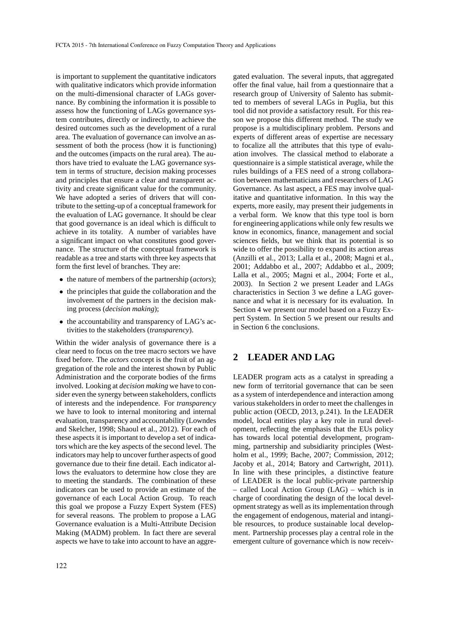is important to supplement the quantitative indicators with qualitative indicators which provide information on the multi-dimensional character of LAGs governance. By combining the information it is possible to assess how the functioning of LAGs governance system contributes, directly or indirectly, to achieve the desired outcomes such as the development of a rural area. The evaluation of governance can involve an assessment of both the process (how it is functioning) and the outcomes (impacts on the rural area). The authors have tried to evaluate the LAG governance system in terms of structure, decision making processes and principles that ensure a clear and transparent activity and create significant value for the community. We have adopted a series of drivers that will contribute to the setting-up of a conceptual framework for the evaluation of LAG governance. It should be clear that good governance is an ideal which is difficult to achieve in its totality. A number of variables have a significant impact on what constitutes good governance. The structure of the conceptual framework is readable as a tree and starts with three key aspects that form the first level of branches. They are:

- the nature of members of the partnership (*actors*);
- the principles that guide the collaboration and the involvement of the partners in the decision making process (*decision making*);
- the accountability and transparency of LAG's activities to the stakeholders (*transparency*).

Within the wider analysis of governance there is a clear need to focus on the tree macro sectors we have fixed before. The *actors* concept is the fruit of an aggregation of the role and the interest shown by Public Administration and the corporate bodies of the firms involved. Looking at *decision making* we have to consider even the synergy between stakeholders, conflicts of interests and the independence. For *transparency* we have to look to internal monitoring and internal evaluation, transparency and accountability (Lowndes and Skelcher, 1998; Shaoul et al., 2012). For each of these aspects it is important to develop a set of indicators which are the key aspects of the second level. The indicators may help to uncover further aspects of good governance due to their fine detail. Each indicator allows the evaluators to determine how close they are to meeting the standards. The combination of these indicators can be used to provide an estimate of the governance of each Local Action Group. To reach this goal we propose a Fuzzy Expert System (FES) for several reasons. The problem to propose a LAG Governance evaluation is a Multi-Attribute Decision Making (MADM) problem. In fact there are several aspects we have to take into account to have an aggre-

gated evaluation. The several inputs, that aggregated offer the final value, hail from a questionnaire that a research group of University of Salento has submitted to members of several LAGs in Puglia, but this tool did not provide a satisfactory result. For this reason we propose this different method. The study we propose is a multidisciplinary problem. Persons and experts of different areas of expertise are necessary to focalize all the attributes that this type of evaluation involves. The classical method to elaborate a questionnaire is a simple statistical average, while the rules buildings of a FES need of a strong collaboration between mathematicians and researchers of LAG Governance. As last aspect, a FES may involve qualitative and quantitative information. In this way the experts, more easily, may present their judgements in a verbal form. We know that this type tool is born for engineering applications while only few results we know in economics, finance, management and social sciences fields, but we think that its potential is so wide to offer the possibility to expand its action areas (Anzilli et al., 2013; Lalla et al., 2008; Magni et al., 2001; Addabbo et al., 2007; Addabbo et al., 2009; Lalla et al., 2005; Magni et al., 2004; Forte et al., 2003). In Section 2 we present Leader and LAGs characteristics in Section 3 we define a LAG governance and what it is necessary for its evaluation. In Section 4 we present our model based on a Fuzzy Expert System. In Section 5 we present our results and in Section 6 the conclusions.

### **2 LEADER AND LAG**

LEADER program acts as a catalyst in spreading a new form of territorial governance that can be seen as a system of interdependence and interaction among various stakeholders in order to meet the challenges in public action (OECD, 2013, p.241). In the LEADER model, local entities play a key role in rural development, reflecting the emphasis that the EUs policy has towards local potential development, programming, partnership and subsidiarity principles (Westholm et al., 1999; Bache, 2007; Commission, 2012; Jacoby et al., 2014; Batory and Cartwright, 2011). In line with these principles, a distinctive feature of LEADER is the local public-private partnership – called Local Action Group (LAG) – which is in charge of coordinating the design of the local development strategy as well as its implementation through the engagement of endogenous, material and intangible resources, to produce sustainable local development. Partnership processes play a central role in the emergent culture of governance which is now receiv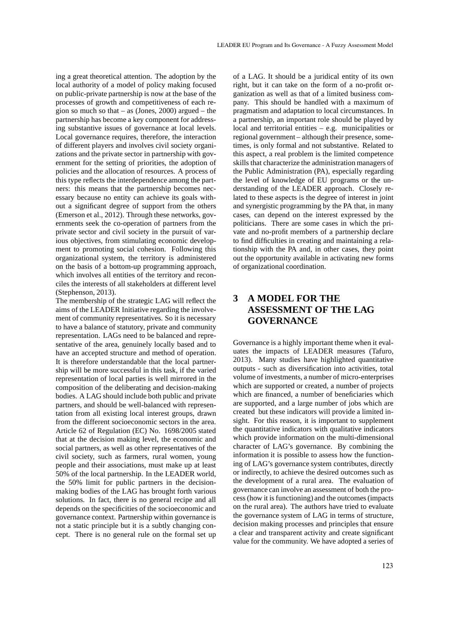ing a great theoretical attention. The adoption by the local authority of a model of policy making focused on public-private partnership is now at the base of the processes of growth and competitiveness of each region so much so that  $-$  as (Jones, 2000) argued  $-$  the partnership has become a key component for addressing substantive issues of governance at local levels. Local governance requires, therefore, the interaction of different players and involves civil society organizations and the private sector in partnership with government for the setting of priorities, the adoption of policies and the allocation of resources. A process of this type reflects the interdependence among the partners: this means that the partnership becomes necessary because no entity can achieve its goals without a significant degree of support from the others (Emerson et al., 2012). Through these networks, governments seek the co-operation of partners from the private sector and civil society in the pursuit of various objectives, from stimulating economic development to promoting social cohesion. Following this organizational system, the territory is administered on the basis of a bottom-up programming approach, which involves all entities of the territory and reconciles the interests of all stakeholders at different level (Stephenson, 2013).

The membership of the strategic LAG will reflect the aims of the LEADER Initiative regarding the involvement of community representatives. So it is necessary to have a balance of statutory, private and community representation. LAGs need to be balanced and representative of the area, genuinely locally based and to have an accepted structure and method of operation. It is therefore understandable that the local partnership will be more successful in this task, if the varied representation of local parties is well mirrored in the composition of the deliberating and decision-making bodies. A LAG should include both public and private partners, and should be well-balanced with representation from all existing local interest groups, drawn from the different socioeconomic sectors in the area. Article 62 of Regulation (EC) No. 1698/2005 stated that at the decision making level, the economic and social partners, as well as other representatives of the civil society, such as farmers, rural women, young people and their associations, must make up at least 50% of the local partnership. In the LEADER world, the 50% limit for public partners in the decisionmaking bodies of the LAG has brought forth various solutions. In fact, there is no general recipe and all depends on the specificities of the socioeconomic and governance context. Partnership within governance is not a static principle but it is a subtly changing concept. There is no general rule on the formal set up of a LAG. It should be a juridical entity of its own right, but it can take on the form of a no-profit organization as well as that of a limited business company. This should be handled with a maximum of pragmatism and adaptation to local circumstances. In a partnership, an important role should be played by local and territorial entities – e.g. municipalities or regional government – although their presence, sometimes, is only formal and not substantive. Related to this aspect, a real problem is the limited competence skills that characterize the administration managers of the Public Administration (PA), especially regarding the level of knowledge of EU programs or the understanding of the LEADER approach. Closely related to these aspects is the degree of interest in joint and synergistic programming by the PA that, in many cases, can depend on the interest expressed by the politicians. There are some cases in which the private and no-profit members of a partnership declare to find difficulties in creating and maintaining a relationship with the PA and, in other cases, they point out the opportunity available in activating new forms of organizational coordination.

## **3 A MODEL FOR THE ASSESSMENT OF THE LAG GOVERNANCE**

Governance is a highly important theme when it evaluates the impacts of LEADER measures (Tafuro, 2013). Many studies have highlighted quantitative outputs - such as diversification into activities, total volume of investments, a number of micro-enterprises which are supported or created, a number of projects which are financed, a number of beneficiaries which are supported, and a large number of jobs which are created but these indicators will provide a limited insight. For this reason, it is important to supplement the quantitative indicators with qualitative indicators which provide information on the multi-dimensional character of LAG's governance. By combining the information it is possible to assess how the functioning of LAG's governance system contributes, directly or indirectly, to achieve the desired outcomes such as the development of a rural area. The evaluation of governance can involve an assessment of both the process (how it is functioning) and the outcomes (impacts on the rural area). The authors have tried to evaluate the governance system of LAG in terms of structure, decision making processes and principles that ensure a clear and transparent activity and create significant value for the community. We have adopted a series of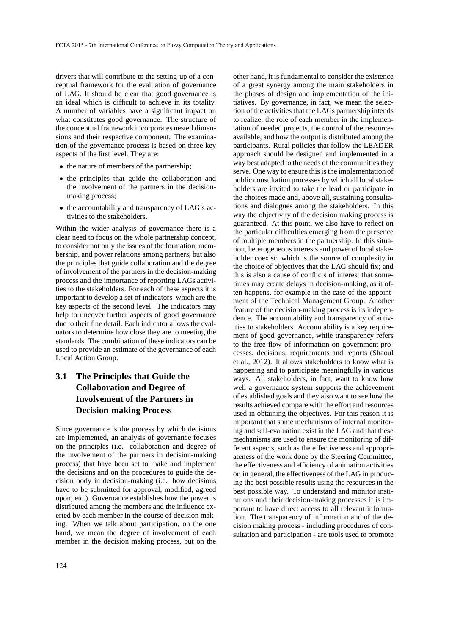drivers that will contribute to the setting-up of a conceptual framework for the evaluation of governance of LAG. It should be clear that good governance is an ideal which is difficult to achieve in its totality. A number of variables have a significant impact on what constitutes good governance. The structure of the conceptual framework incorporates nested dimensions and their respective component. The examination of the governance process is based on three key aspects of the first level. They are:

- the nature of members of the partnership;
- the principles that guide the collaboration and the involvement of the partners in the decisionmaking process;
- the accountability and transparency of LAG's activities to the stakeholders.

Within the wider analysis of governance there is a clear need to focus on the whole partnership concept, to consider not only the issues of the formation, membership, and power relations among partners, but also the principles that guide collaboration and the degree of involvement of the partners in the decision-making process and the importance of reporting LAGs activities to the stakeholders. For each of these aspects it is important to develop a set of indicators which are the key aspects of the second level. The indicators may help to uncover further aspects of good governance due to their fine detail. Each indicator allows the evaluators to determine how close they are to meeting the standards. The combination of these indicators can be used to provide an estimate of the governance of each Local Action Group.

# **3.1 The Principles that Guide the Collaboration and Degree of Involvement of the Partners in Decision-making Process**

Since governance is the process by which decisions are implemented, an analysis of governance focuses on the principles (i.e. collaboration and degree of the involvement of the partners in decision-making process) that have been set to make and implement the decisions and on the procedures to guide the decision body in decision-making (i.e. how decisions have to be submitted for approval, modified, agreed upon; etc.). Governance establishes how the power is distributed among the members and the influence exerted by each member in the course of decision making. When we talk about participation, on the one hand, we mean the degree of involvement of each member in the decision making process, but on the

of a great synergy among the main stakeholders in the phases of design and implementation of the initiatives. By governance, in fact, we mean the selection of the activities that the LAGs partnership intends to realize, the role of each member in the implementation of needed projects, the control of the resources available, and how the output is distributed among the participants. Rural policies that follow the LEADER approach should be designed and implemented in a way best adapted to the needs of the communities they serve. One way to ensure this is the implementation of public consultation processes by which all local stakeholders are invited to take the lead or participate in the choices made and, above all, sustaining consultations and dialogues among the stakeholders. In this way the objectivity of the decision making process is guaranteed. At this point, we also have to reflect on the particular difficulties emerging from the presence of multiple members in the partnership. In this situation, heterogeneous interests and power of local stakeholder coexist: which is the source of complexity in the choice of objectives that the LAG should fix; and this is also a cause of conflicts of interest that sometimes may create delays in decision-making, as it often happens, for example in the case of the appointment of the Technical Management Group. Another feature of the decision-making process is its independence. The accountability and transparency of activities to stakeholders. Accountability is a key requirement of good governance, while transparency refers to the free flow of information on government processes, decisions, requirements and reports (Shaoul et al., 2012). It allows stakeholders to know what is happening and to participate meaningfully in various ways. All stakeholders, in fact, want to know how well a governance system supports the achievement of established goals and they also want to see how the results achieved compare with the effort and resources used in obtaining the objectives. For this reason it is important that some mechanisms of internal monitoring and self-evaluation exist in the LAG and that these mechanisms are used to ensure the monitoring of different aspects, such as the effectiveness and appropriateness of the work done by the Steering Committee, the effectiveness and efficiency of animation activities or, in general, the effectiveness of the LAG in producing the best possible results using the resources in the best possible way. To understand and monitor institutions and their decision-making processes it is important to have direct access to all relevant information. The transparency of information and of the decision making process - including procedures of consultation and participation - are tools used to promote

other hand, it is fundamental to consider the existence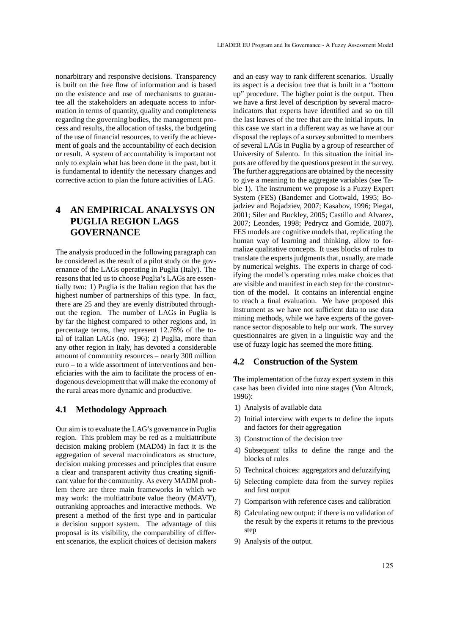nonarbitrary and responsive decisions. Transparency is built on the free flow of information and is based on the existence and use of mechanisms to guarantee all the stakeholders an adequate access to information in terms of quantity, quality and completeness regarding the governing bodies, the management process and results, the allocation of tasks, the budgeting of the use of financial resources, to verify the achievement of goals and the accountability of each decision or result. A system of accountability is important not only to explain what has been done in the past, but it is fundamental to identify the necessary changes and corrective action to plan the future activities of LAG.

# **4 AN EMPIRICAL ANALYSYS ON PUGLIA REGION LAGS GOVERNANCE**

The analysis produced in the following paragraph can be considered as the result of a pilot study on the governance of the LAGs operating in Puglia (Italy). The reasons that led us to choose Puglia's LAGs are essentially two: 1) Puglia is the Italian region that has the highest number of partnerships of this type. In fact, there are 25 and they are evenly distributed throughout the region. The number of LAGs in Puglia is by far the highest compared to other regions and, in percentage terms, they represent 12.76% of the total of Italian LAGs (no. 196); 2) Puglia, more than any other region in Italy, has devoted a considerable amount of community resources – nearly 300 million euro – to a wide assortment of interventions and beneficiaries with the aim to facilitate the process of endogenous development that will make the economy of the rural areas more dynamic and productive.

#### **4.1 Methodology Approach**

Our aim is to evaluate the LAG's governance in Puglia region. This problem may be red as a multiattribute decision making problem (MADM) In fact it is the aggregation of several macroindicators as structure, decision making processes and principles that ensure a clear and transparent activity thus creating significant value for the community. As every MADM problem there are three main frameworks in which we may work: the multiattribute value theory (MAVT), outranking approaches and interactive methods. We present a method of the first type and in particular a decision support system. The advantage of this proposal is its visibility, the comparability of different scenarios, the explicit choices of decision makers

and an easy way to rank different scenarios. Usually its aspect is a decision tree that is built in a "bottom up" procedure. The higher point is the output. Then we have a first level of description by several macroindicators that experts have identified and so on till the last leaves of the tree that are the initial inputs. In this case we start in a different way as we have at our disposal the replays of a survey submitted to members of several LAGs in Puglia by a group of researcher of University of Salento. In this situation the initial inputs are offered by the questions present in the survey. The further aggregations are obtained by the necessity to give a meaning to the aggregate variables (see Table 1). The instrument we propose is a Fuzzy Expert System (FES) (Bandemer and Gottwald, 1995; Bojadziev and Bojadziev, 2007; Kasabov, 1996; Piegat, 2001; Siler and Buckley, 2005; Castillo and Alvarez, 2007; Leondes, 1998; Pedrycz and Gomide, 2007). FES models are cognitive models that, replicating the human way of learning and thinking, allow to formalize qualitative concepts. It uses blocks of rules to translate the experts judgments that, usually, are made by numerical weights. The experts in charge of codifying the model's operating rules make choices that are visible and manifest in each step for the construction of the model. It contains an inferential engine to reach a final evaluation. We have proposed this instrument as we have not sufficient data to use data mining methods, while we have experts of the governance sector disposable to help our work. The survey questionnaires are given in a linguistic way and the use of fuzzy logic has seemed the more fitting.

#### **4.2 Construction of the System**

The implementation of the fuzzy expert system in this case has been divided into nine stages (Von Altrock, 1996):

- 1) Analysis of available data
- 2) Initial interview with experts to define the inputs and factors for their aggregation
- 3) Construction of the decision tree
- 4) Subsequent talks to define the range and the blocks of rules
- 5) Technical choices: aggregators and defuzzifying
- 6) Selecting complete data from the survey replies and first output
- 7) Comparison with reference cases and calibration
- 8) Calculating new output: if there is no validation of the result by the experts it returns to the previous step
- 9) Analysis of the output.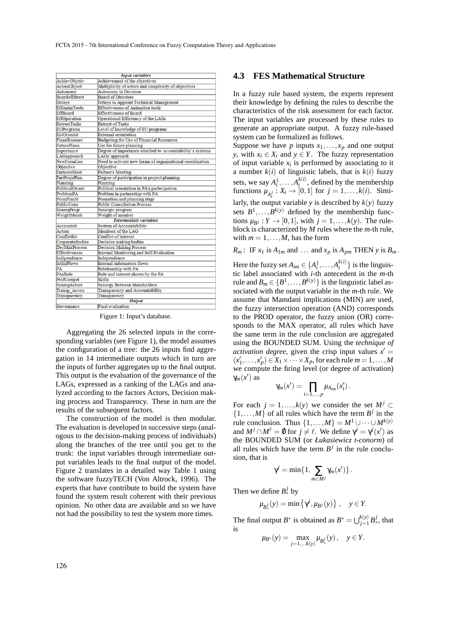| <b>Input variables</b>                         |                                                           |  |  |  |  |
|------------------------------------------------|-----------------------------------------------------------|--|--|--|--|
| AchievObjetiv<br>Achievement of the objectives |                                                           |  |  |  |  |
| ActorsObject                                   | Multiplicity of actors and complexity of objectives       |  |  |  |  |
| Autonomy                                       | Autonomy in Decision                                      |  |  |  |  |
| <b>BoardofDirect</b>                           | <b>Board of Directors</b>                                 |  |  |  |  |
| Delays                                         | Delays in Appoint Technical Management                    |  |  |  |  |
| EffAnimTools                                   | <b>Effectiveness of Animation tools</b>                   |  |  |  |  |
| EffBoard                                       | <b>Effectiveness of Board</b>                             |  |  |  |  |
| EffOperation                                   | Operational Efficiency of the LAGs                        |  |  |  |  |
| <b>EntrustTasks</b>                            | <b>Entrust of Tasks</b>                                   |  |  |  |  |
| EUPrograms                                     | Level of knowledge of EU programs                         |  |  |  |  |
| <b>ExtOrientat</b>                             | <b>External orientation</b>                               |  |  |  |  |
| FinanResourc                                   | Budgeting the Use of Financial Resources                  |  |  |  |  |
| <b>FuturePlann</b>                             | Use for future planning                                   |  |  |  |  |
| Importance                                     | Degree of importance attached to accountability's systems |  |  |  |  |
| LAGapproach                                    | LAGs' approach                                            |  |  |  |  |
| NewFormCoo                                     | Need to activate new forms of organisational coordination |  |  |  |  |
| Objective                                      | Objective                                                 |  |  |  |  |
| <b>PartnersMeet</b>                            | Partner's Meeting                                         |  |  |  |  |
| PartProjePlan                                  | Degree of participation in project planning               |  |  |  |  |
| Planning                                       | Planning                                                  |  |  |  |  |
| PoliticalOrient                                | Political orientation in PA's partecipation               |  |  |  |  |
| ProblemPA                                      | Problem in partnership with PA                            |  |  |  |  |
| PromPlanSt                                     | Promotion and planning stage                              |  |  |  |  |
| PublicCons                                     | <b>Public Consultation Process</b>                        |  |  |  |  |
| SynergProgr                                    | Synergic program                                          |  |  |  |  |
| WeightMemb                                     | Weight of member                                          |  |  |  |  |
|                                                | Intermediate variables                                    |  |  |  |  |
| Accountab                                      | System of Accountability                                  |  |  |  |  |
| Actors                                         | Members of the LAG                                        |  |  |  |  |
| ConflictInt                                    | Conflict of interest                                      |  |  |  |  |
| CorporateBodies                                | Decision making bodies                                    |  |  |  |  |
| <b>DecMakProcess</b>                           | <b>Decision Making Process</b>                            |  |  |  |  |
| Effectiveness                                  | Internal Monitoring and Self-Evaluation                   |  |  |  |  |
| Indipendence                                   | Independence                                              |  |  |  |  |
| <b>IntInfFlows</b>                             | Internal information flows                                |  |  |  |  |
| PA                                             | Relationship with PA                                      |  |  |  |  |
| PAsRole                                        | Role and interest shown by the PA                         |  |  |  |  |
| ProfCompet                                     | Skills                                                    |  |  |  |  |
| SynergActors                                   | Synergy Between Stakeholders                              |  |  |  |  |
| Transp Accou                                   | Transparency and Accountability                           |  |  |  |  |
| Transparency                                   | Transparency                                              |  |  |  |  |
| <b>Output</b>                                  |                                                           |  |  |  |  |
| Governance                                     | Final evaluation                                          |  |  |  |  |

Figure 1: Input's database.

Aggregating the 26 selected inputs in the corresponding variables (see Figure 1), the model assumes the configuration of a tree: the 26 inputs find aggregation in 14 intermediate outputs which in turn are the inputs of further aggregates up to the final output. This output is the evaluation of the governance of the LAGs, expressed as a ranking of the LAGs and analyzed according to the factors Actors, Decision making process and Transparency. These in turn are the results of the subsequent factors.

The construction of the model is then modular. The evaluation is developed in successive steps (analogous to the decision-making process of individuals) along the branches of the tree until you get to the trunk: the input variables through intermediate output variables leads to the final output of the model. Figure 2 translates in a detailed way Table 1 using the software fuzzyTECH (Von Altrock, 1996). The experts that have contribute to build the system have found the system result coherent with their previous opinion. No other data are available and so we have not had the possibility to test the system more times.

#### **4.3 FES Mathematical Structure**

In a fuzzy rule based system, the experts represent their knowledge by defining the rules to describe the characteristics of the risk assessment for each factor. The input variables are processed by these rules to generate an appropriate output. A fuzzy rule-based system can be formalized as follows.

Suppose we have *p* inputs  $x_1, \ldots, x_p$  and one output *y*, with  $x_i \in X_i$  and  $y \in Y$ . The fuzzy representation of input variable  $x_i$  is performed by associating to it a number  $k(i)$  of linguistic labels, that is  $k(i)$  fuzzy sets, we say  $A_i^1, \ldots, A_i^{k(i)}$ , defined by the membership functions  $\mu_{A_i^j}: X_i \to [0,1]$  for  $j = 1, ..., k(i)$ . Similarly, the output variable *y* is described by  $k(y)$  fuzzy sets  $B^1, \ldots, B^{k(y)}$  defined by the membership functions  $\mu_{Bj}: Y \to [0,1]$ , with  $j = 1, \ldots, k(y)$ . The ruleblock is characterized by *M* rules where the *m*-th rule, with  $m = 1, \ldots, M$ , has the form

 $R_m$ : IF  $x_1$  is  $A_{1m}$  and ... and  $x_p$  is  $A_{pm}$  THEN  $y$  is  $B_m$ .

Here the fuzzy set  $A_{im} \in \{A_i^1, \ldots, A_i^{k(i)}\}$  is the linguistic label associated with *i*-th antecedent in the *m*-th rule and  $B_m \in \{B^1, \ldots, B^{k(y)}\}$  is the linguistic label associated with the output variable in the *m*-th rule. We assume that Mamdani implications (MIN) are used, the fuzzy intersection operation (AND) corresponds to the PROD operator, the fuzzy union (OR) corresponds to the MAX operator, all rules which have the same term in the rule conclusion are aggregated using the BOUNDED SUM. Using the *technique of activation degree*, given the crisp input values  $x' =$  $(x'_1, \ldots, x'_p) \in X_1 \times \cdots \times X_p$ , for each rule  $m = 1, \ldots, M$ we compute the firing level (or degree of activation)  $γ<sub>m</sub>(x')$  as

$$
\gamma_m(x') = \prod_{i=1,\dots,p} \mu_{A_{im}}(x'_i).
$$

For each  $j = 1, \ldots, k(y)$  we consider the set  $M^j \subset$  $\{1,\ldots,M\}$  of all rules which have the term  $B^j$  in the rule conclusion. Thus  $\{1,\ldots,M\} = M^1 \cup \cdots \cup M^{k(y)}$ and  $M^j \cap M^{\ell} = \emptyset$  for  $j \neq \ell$ . We define  $\gamma^j = \gamma^j(x')$  as the BOUNDED SUM (or *Łukasiewicz t-conorm*) of all rules which have the term  $B^j$  in the rule conclusion, that is

$$
\gamma^j = \min\{1, \sum_{m \in M^j} \gamma_m(x')\}.
$$

Then we define  $B_*^j$  by

$$
\mu_{B_*^j}(y) = \min \left\{ \gamma^j, \mu_{B^j}(y) \right\}, \quad y \in Y.
$$

The final output *B*<sup>\*</sup> is obtained as  $B^* = \bigcup_{j=1}^{k(y)} B^j_*$ , that is

$$
\mu_{B^*}(y) = \max_{j=1,...k(y)} \mu_{B_*^j}(y), \quad y \in Y.
$$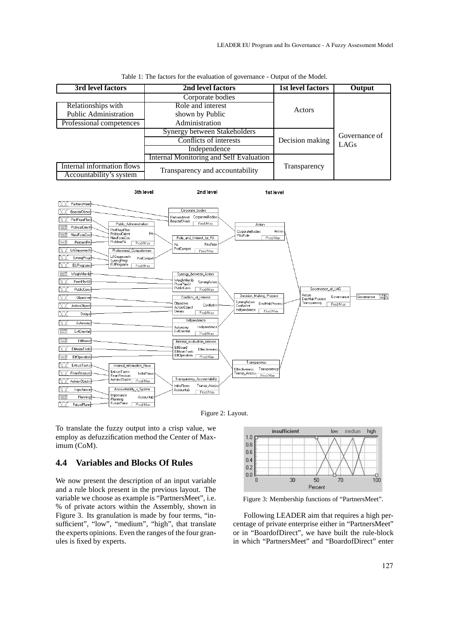| 3rd level factors                                     | 2nd level factors                       | 1st level factors | Output        |
|-------------------------------------------------------|-----------------------------------------|-------------------|---------------|
|                                                       | Corporate bodies                        |                   |               |
| Relationships with                                    | Role and interest                       | Actors            |               |
| Public Administration                                 | shown by Public                         |                   |               |
| Professional competences                              | Administration                          |                   |               |
|                                                       | Synergy between Stakeholders            |                   | Governance of |
|                                                       | Conflicts of interests                  | Decision making   | LAGs          |
|                                                       | Independence                            |                   |               |
|                                                       | Internal Monitoring and Self Evaluation |                   |               |
| Internal information flows<br>Accountability's system | Transparency and accountability         | Transparency      |               |

2nd level

| Table 1: The factors for the evaluation of governance - Output of the Model. |  |
|------------------------------------------------------------------------------|--|
|------------------------------------------------------------------------------|--|

3th level

1st level





To translate the fuzzy output into a crisp value, we employ as defuzzification method the Center of Maximum (CoM).

#### **4.4 Variables and Blocks Of Rules**

We now present the description of an input variable and a rule block present in the previous layout. The variable we choose as example is "PartnersMeet", i.e. % of private actors within the Assembly, shown in Figure 3. Its granulation is made by four terms, "insufficient", "low", "medium", "high", that translate the experts opinions. Even the ranges of the four granules is fixed by experts.



Figure 3: Membership functions of "PartnersMeet".

Following LEADER aim that requires a high percentage of private enterprise either in "PartnersMeet" or in "BoardofDirect", we have built the rule-block in which "PartnersMeet" and "BoardofDirect" enter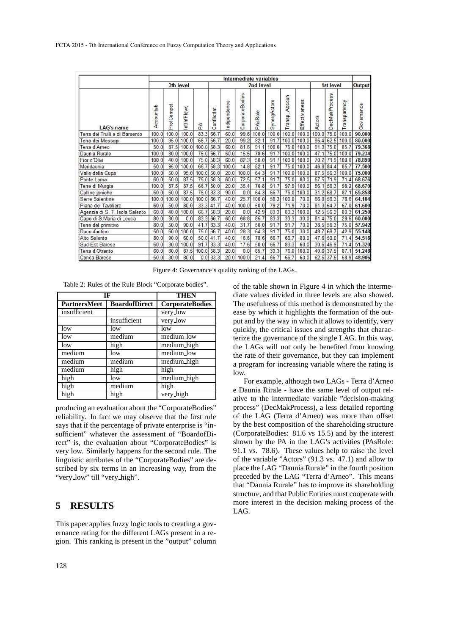|                                | Intermediate variables |            |             |       |             |              |                 |         |              |                  |                   |        |                      |              |            |
|--------------------------------|------------------------|------------|-------------|-------|-------------|--------------|-----------------|---------|--------------|------------------|-------------------|--------|----------------------|--------------|------------|
|                                | 3th level              |            |             |       | 2nd level   |              |                 |         |              |                  | 1st level         | Output |                      |              |            |
| LAG's name                     | Accountab              | ProfCompet | IntinfFlows | Ã     | ConflictInt | Indipendence | CorporateBodies | PAsRole | SynergActors | Accoun<br>Transp | eness<br>Effectiv | Actors | <b>DecMakProcess</b> | Transparency | Governance |
| Terra dei Trulli e di Barsento | 100.0                  | 100.0      | 100.0       | 83.3  | 66.7        | 60.0         | 99.6            | 100.0   | 100.0        | 100.0            | 100.0             | 100.0  | 75.0                 | 100.0        | 90.000     |
| Terra dei Messapi              | 100.0                  | 95.0       | 100.0       | 66.7  | 66.7        | 20.0         | 99.2            | 82.1    | 91.7         | 100.0            | 100.0             | 96.4   | 62.5                 | 100.0        | 80.000     |
| Terra d'Arneo                  | 50.0                   | 87.5       | 100.0       | 100.0 | 58.3        | 60.0         | 81.6            | 91.1    | 100.0        | 75.0             | 100.0             | 91.3   | 75.0                 | 85.7         | 79.368     |
| Daunia Rurale                  | 100.0                  | 80.0       | 100.0       | 75.0  | 66.7        | 60.0         | 15.5            | 78.6    | 91.7         | 100.0            | 100.0             | 47.1   | 75.0                 | 100.0        | 79.234     |
| Fior d'Olivi                   | 100.0                  | 40.0       | 100.0       | 75.0  | 58.3        | 60.0         | 82.3            | 50.0    | 91.7         | 100.0            | 100.0             | 70.2   | 71.9                 | 100.0        | 78.890     |
| Meridaunia                     | 50.0                   | 95.0       | 100.0       | 66.7  | 58.3        | 100.0        | 14.8            | 82.1    | 91.7         | 75.0             | 100.0             | 46.8   | 84.4                 | 85.7         | 77.500     |
| Valle della Cupa               | 100.0                  | 50.0       | 95.0        | 100.0 | 50.0        | 20.0         | 100.0           | 64.3    | 91.7         | 100.0            | 100.0             | 87.5   | 56.3                 | 100.0        | 75.000     |
| Ponte Lama                     | 60.0                   | 50.0       | 87.5        | 75.0  | 58.3        | 60.0         | 72.5            | 57.1    | 91.7         | 75.0             | 80.0              | 67.5   | 71.9                 | 71.4         | 68.676     |
| Terre di Murgia                | 100.0                  | 87.5       | 87.5        | 66.7  | 50.0        | 20.0         | 35.4            | 76.8    | 91.7         | 97.9             | 100.0             | 56.1   | 56.3                 | 98.2         | 68.670     |
| Colline joniche                | 60.0                   | 60.0       | 87.5        | 75.0  | 33.3        | 90.0         | 0.0             | 64.3    | 66.7         | 76.0             | 100.0             | 31.2   | 68.7                 | 87.1         | 65.858     |
| Serre Salentine                | 100.0                  | 100.0      | 100.0       | 100.0 | 66.7        | 40.0         | 25.7            | 100.0   | 58.3         | 100.0            | 70.0              | 66.0   | 56.3                 | 78.6         | 64.104     |
| Piana del Tavoliere            | 60.0                   | 50.0       | 80.0        | 33.3  | 41.7        | 40.0         | 100.0           | 50.0    | 79.2         | 71.9             | 70.0              | 81.3   | 54.7                 | 67.0         | 61.600     |
| Agenzia di S. T. Isola Salento | 60.0                   | 40.0       | 100.0       | 66.7  | 58.3        | 20.0         | 0.0             | 42.9    | 83.3         | 83.3             | 100.0             | 12.5   | 56.3                 | 89.3         | 61.250     |
| Capo di S.Maria di Leuca       | 80.0                   | 80.0       | 0.0         | 83.3  | 66.7        | 60.0         | 68.8            | 85.7    | 83.3         | 33.3             | 30.0              | 81.4   | 75.0                 | 28.6         | 60.000     |
| Terre del primitivo            | 80.0                   | 50.0       | 90.0        | 41.7  | 33.3        | 40.0         | 31.7            | 50.0    | 91.7         | 91.7             | 70.0              | 38.5   | 56.3                 | 75.0         | 57.942     |
| Daunofantino                   | 50.0                   | 60.0       | 100.0       | 75.0  | 66.7        | 40.0         | 28.3            | 64.3    | 91.7         | 75.0             | 30.0              | 48.7   | 68.7                 | 42.9         | 55.148     |
| Alto Salento                   | 80.0                   | 90.0       | 60.0        | 50.0  | 41.7        | 40.0         | 16.6            | 78.6    | 66.7         | 66.7             | 80.0              | 47.6   | 50.0                 | 71.4         | 54.518     |
| Sud-Est Barese                 | 60.0                   | 30.0       | 100.0       | 91.7  | 33.3        | 40.0         | 17.6            | 50.0    | 66.7         | 83.3             | 60.0              | 30.6   | 46.9                 | 71.4         | 51.320     |
| Terra d'Otranto                | 60.0                   | 80.0       | 87.5        | 100.0 | 58.3        | 20.0         | 0.0             | 85.7    | 33.3         | 76.0             | 100.0             | 40.6   | 37.5                 | 87.1         | 51.248     |
| <b>Conca Barese</b>            | 50.0                   | 30.0       | 80.0        |       | $0.0$ 33.3  | 20.0         | 100.0           | 21.4    | 66.7         | 66.7             | 60.0              |        | 62.5 37.5            | 58.9         | 48.906     |

Figure 4: Governance's quality ranking of the LAGs.

Table 2: Rules of the Rule Block "Corporate bodies".

| IF                  | <b>THEN</b>          |                        |
|---------------------|----------------------|------------------------|
| <b>PartnersMeet</b> | <b>BoardofDirect</b> | <b>CorporateBodies</b> |
| insufficient        |                      | very_low               |
|                     | insufficient         | very_low               |
| low                 | low                  | low                    |
| low                 | medium               | medium low             |
| low                 | high                 | medium_high            |
| medium              | low                  | medium_low             |
| medium              | medium               | medium high            |
| medium              | high                 | high                   |
| high                | low                  | medium high            |
| high                | medium               | high                   |
| high                | high                 | very_high              |

producing an evaluation about the "CorporateBodies" reliability. In fact we may observe that the first rule says that if the percentage of private enterprise is "insufficient" whatever the assessment of "BoardofDirect" is, the evaluation about "CorporateBodies" is very low. Similarly happens for the second rule. The linguistic attributes of the "CorporateBodies" are described by six terms in an increasing way, from the "very\_low" till "very\_high".

### **5 RESULTS**

This paper applies fuzzy logic tools to creating a governance rating for the different LAGs present in a region. This ranking is present in the "output" column of the table shown in Figure 4 in which the intermediate values divided in three levels are also showed. The usefulness of this method is demonstrated by the ease by which it highlights the formation of the output and by the way in which it allows to identify, very quickly, the critical issues and strengths that characterize the governance of the single LAG. In this way, the LAGs will not only be benefited from knowing the rate of their governance, but they can implement a program for increasing variable where the rating is low.

For example, although two LAGs - Terra d'Arneo e Daunia Rirale - have the same level of output relative to the intermediate variable "decision-making process" (DecMakProcess), a less detailed reporting of the LAG (Terra d'Arneo) was more than offset by the best composition of the shareholding structure (CorporateBodies: 81.6 vs 15.5) and by the interest shown by the PA in the LAG's activities (PAsRole: 91.1 vs. 78.6). These values help to raise the level of the variable "Actors" (91.3 vs. 47.1) and allow to place the LAG "Daunia Rurale" in the fourth position preceded by the LAG "Terra d'Arneo". This means that "Daunia Rurale" has to improve its shareholding structure, and that Public Entities must cooperate with more interest in the decision making process of the LAG.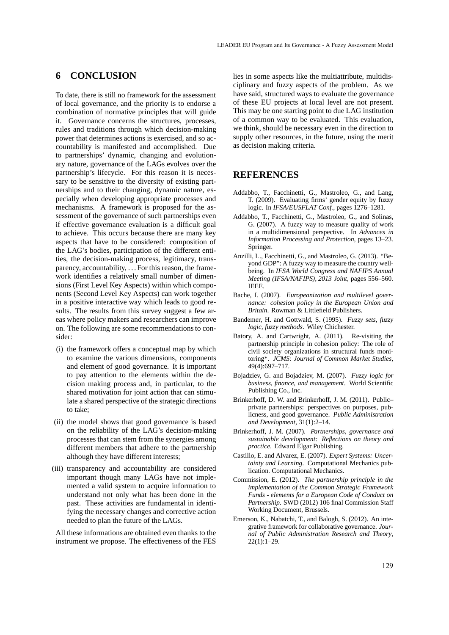### **6 CONCLUSION**

To date, there is still no framework for the assessment of local governance, and the priority is to endorse a combination of normative principles that will guide it. Governance concerns the structures, processes, rules and traditions through which decision-making power that determines actions is exercised, and so accountability is manifested and accomplished. Due to partnerships' dynamic, changing and evolutionary nature, governance of the LAGs evolves over the partnership's lifecycle. For this reason it is necessary to be sensitive to the diversity of existing partnerships and to their changing, dynamic nature, especially when developing appropriate processes and mechanisms. A framework is proposed for the assessment of the governance of such partnerships even if effective governance evaluation is a difficult goal to achieve. This occurs because there are many key aspects that have to be considered: composition of the LAG's bodies, participation of the different entities, the decision-making process, legitimacy, transparency, accountability, . . . For this reason, the framework identifies a relatively small number of dimensions (First Level Key Aspects) within which components (Second Level Key Aspects) can work together in a positive interactive way which leads to good results. The results from this survey suggest a few areas where policy makers and researchers can improve on. The following are some recommendations to consider:

- (i) the framework offers a conceptual map by which to examine the various dimensions, components and element of good governance. It is important to pay attention to the elements within the decision making process and, in particular, to the shared motivation for joint action that can stimulate a shared perspective of the strategic directions to take;
- (ii) the model shows that good governance is based on the reliability of the LAG's decision-making processes that can stem from the synergies among different members that adhere to the partnership although they have different interests;
- (iii) transparency and accountability are considered important though many LAGs have not implemented a valid system to acquire information to understand not only what has been done in the past. These activities are fundamental in identifying the necessary changes and corrective action needed to plan the future of the LAGs.

All these informations are obtained even thanks to the instrument we propose. The effectiveness of the FES lies in some aspects like the multiattribute, multidisciplinary and fuzzy aspects of the problem. As we have said, structured ways to evaluate the governance of these EU projects at local level are not present. This may be one starting point to due LAG institution of a common way to be evaluated. This evaluation, we think, should be necessary even in the direction to supply other resources, in the future, using the merit as decision making criteria.

### **REFERENCES**

- Addabbo, T., Facchinetti, G., Mastroleo, G., and Lang, T. (2009). Evaluating firms' gender equity by fuzzy logic. In *IFSA/EUSFLAT Conf.*, pages 1276–1281.
- Addabbo, T., Facchinetti, G., Mastroleo, G., and Solinas, G. (2007). A fuzzy way to measure quality of work in a multidimensional perspective. In *Advances in Information Processing and Protection*, pages 13–23. Springer.
- Anzilli, L., Facchinetti, G., and Mastroleo, G. (2013). "Beyond GDP": A fuzzy way to measure the country wellbeing. In *IFSA World Congress and NAFIPS Annual Meeting (IFSA/NAFIPS), 2013 Joint*, pages 556–560. IEEE.
- Bache, I. (2007). *Europeanization and multilevel governance: cohesion policy in the European Union and Britain*. Rowman & Littlefield Publishers.
- Bandemer, H. and Gottwald, S. (1995). *Fuzzy sets, fuzzy logic, fuzzy methods*. Wiley Chichester.
- Batory, A. and Cartwright, A. (2011). Re-visiting the partnership principle in cohesion policy: The role of civil society organizations in structural funds monitoring\*. *JCMS: Journal of Common Market Studies*, 49(4):697–717.
- Bojadziev, G. and Bojadziev, M. (2007). *Fuzzy logic for business, finance, and management*. World Scientific Publishing Co., Inc.
- Brinkerhoff, D. W. and Brinkerhoff, J. M. (2011). Public– private partnerships: perspectives on purposes, publicness, and good governance. *Public Administration and Development*, 31(1):2–14.
- Brinkerhoff, J. M. (2007). *Partnerships, governance and sustainable development: Reflections on theory and practice*. Edward Elgar Publishing.
- Castillo, E. and Alvarez, E. (2007). *Expert Systems: Uncertainty and Learning*. Computational Mechanics publication. Computational Mechanics.
- Commission, E. (2012). *The partnership principle in the implementation of the Common Strategic Framework Funds - elements for a European Code of Conduct on Partnership*. SWD (2012) 106 final Commission Staff Working Document, Brussels.
- Emerson, K., Nabatchi, T., and Balogh, S. (2012). An integrative framework for collaborative governance. *Journal of Public Administration Research and Theory*, 22(1):1–29.